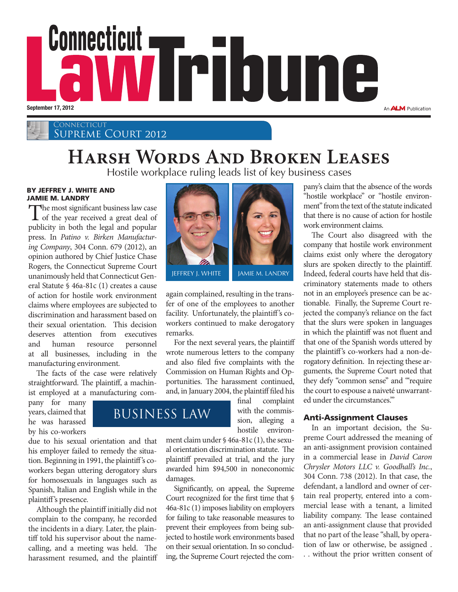

**CONNECTICUT** SUPREME COURT 2012

## **Harsh Words And Broken Leases**

Hostile workplace ruling leads list of key business cases

#### BY JEFFREY J. WHITE AND JAMIE M. LANDRY

The most significant business law case<br>of the year received a great deal of publicity in both the legal and popular press. In *Patino v. Birken Manufacturing Company*, 304 Conn. 679 (2012), an opinion authored by Chief Justice Chase Rogers, the Connecticut Supreme Court unanimously held that Connecticut General Statute § 46a-81c (1) creates a cause of action for hostile work environment claims where employees are subjected to discrimination and harassment based on their sexual orientation. This decision deserves attention from executives and human resource personnel at all businesses, including in the manufacturing environment.

The facts of the case were relatively straightforward. The plaintiff, a machinist employed at a manufacturing com-

pany for many years, claimed that he was harassed by his co-workers

due to his sexual orientation and that his employer failed to remedy the situation. Beginning in 1991, the plaintiff's coworkers began uttering derogatory slurs for homosexuals in languages such as Spanish, Italian and English while in the plaintiff's presence.

Although the plaintiff initially did not complain to the company, he recorded the incidents in a diary. Later, the plaintiff told his supervisor about the namecalling, and a meeting was held. The harassment resumed, and the plaintiff



again complained, resulting in the transfer of one of the employees to another facility. Unfortunately, the plaintiff's coworkers continued to make derogatory remarks.

For the next several years, the plaintiff wrote numerous letters to the company and also filed five complaints with the Commission on Human Rights and Opportunities. The harassment continued, and, in January 2004, the plaintiff filed his

final complaint with the commission, alleging a hostile environ-

ment claim under § 46a-81c (1), the sexual orientation discrimination statute. The plaintiff prevailed at trial, and the jury awarded him \$94,500 in noneconomic damages.

Significantly, on appeal, the Supreme Court recognized for the first time that § 46a-81c (1) imposes liability on employers for failing to take reasonable measures to prevent their employees from being subjected to hostile work environments based on their sexual orientation. In so concluding, the Supreme Court rejected the company's claim that the absence of the words "hostile workplace" or "hostile environment" from the text of the statute indicated that there is no cause of action for hostile work environment claims.

The Court also disagreed with the company that hostile work environment claims exist only where the derogatory slurs are spoken directly to the plaintiff. Indeed, federal courts have held that discriminatory statements made to others not in an employee's presence can be actionable. Finally, the Supreme Court rejected the company's reliance on the fact that the slurs were spoken in languages in which the plaintiff was not fluent and that one of the Spanish words uttered by the plaintiff's co-workers had a non-derogatory definition. In rejecting these arguments, the Supreme Court noted that they defy "common sense" and "'require the court to espouse a naiveté unwarranted under the circumstances.'"

## Anti-Assignment Clauses

In an important decision, the Supreme Court addressed the meaning of an anti-assignment provision contained in a commercial lease in *David Caron Chrysler Motors LLC v. Goodhall's Inc.*, 304 Conn. 738 (2012). In that case, the defendant, a landlord and owner of certain real property, entered into a commercial lease with a tenant, a limited liability company. The lease contained an anti-assignment clause that provided that no part of the lease "shall, by operation of law or otherwise, be assigned . . . without the prior written consent of

## business law